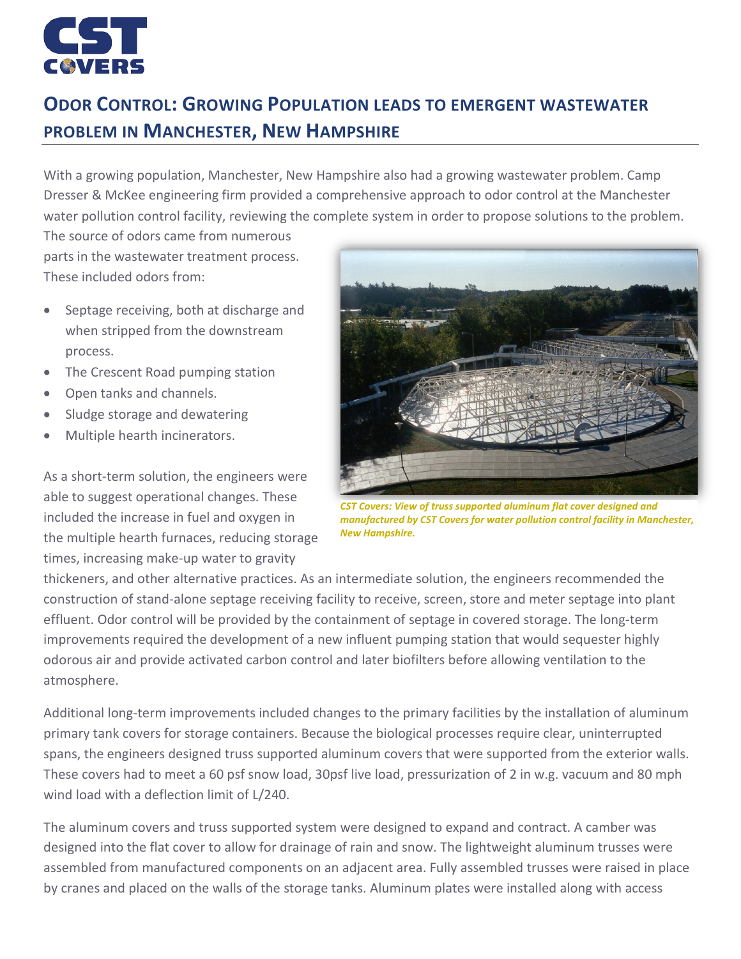

## **ODOR CONTROL: GROWING POPULATION LEADS TO EMERGENT WASTEWATER PROBLEM IN MANCHESTER, NEW HAMPSHIRE**

With a growing population, Manchester, New Hampshire also had a growing wastewater problem. Camp Dresser & McKee engineering firm provided a comprehensive approach to odor control at the Manchester water pollution control facility, reviewing the complete system in order to propose solutions to the problem. The source of odors came from numerous

parts in the wastewater treatment process. These included odors from:

- Septage receiving, both at discharge and when stripped from the downstream process.
- The Crescent Road pumping station
- Open tanks and channels.
- Sludge storage and dewatering
- Multiple hearth incinerators.

As a short-term solution, the engineers were able to suggest operational changes. These included the increase in fuel and oxygen in the multiple hearth furnaces, reducing storage times, increasing make-up water to gravity



*CST Covers: View of truss supported aluminum flat cover designed and manufactured by CST Covers for water pollution control facility in Manchester, New Hampshire.*

thickeners, and other alternative practices. As an intermediate solution, the engineers recommended the construction of stand-alone septage receiving facility to receive, screen, store and meter septage into plant effluent. Odor control will be provided by the containment of septage in covered storage. The long-term improvements required the development of a new influent pumping station that would sequester highly odorous air and provide activated carbon control and later biofilters before allowing ventilation to the atmosphere.

Additional long-term improvements included changes to the primary facilities by the installation of aluminum primary tank covers for storage containers. Because the biological processes require clear, uninterrupted spans, the engineers designed truss supported aluminum covers that were supported from the exterior walls. These covers had to meet a 60 psf snow load, 30psf live load, pressurization of 2 in w.g. vacuum and 80 mph wind load with a deflection limit of L/240.

The aluminum covers and truss supported system were designed to expand and contract. A camber was designed into the flat cover to allow for drainage of rain and snow. The lightweight aluminum trusses were assembled from manufactured components on an adjacent area. Fully assembled trusses were raised in place by cranes and placed on the walls of the storage tanks. Aluminum plates were installed along with access